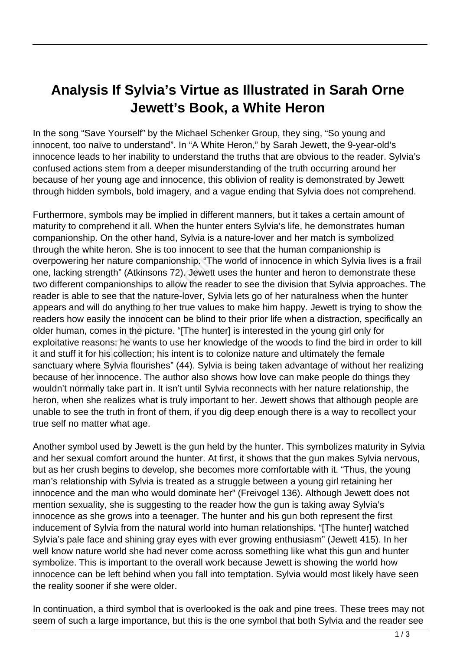## **Analysis If Sylvia's Virtue as Illustrated in Sarah Orne Jewett's Book, a White Heron**

In the song "Save Yourself" by the Michael Schenker Group, they sing, "So young and innocent, too naïve to understand". In "A White Heron," by Sarah Jewett, the 9-year-old's innocence leads to her inability to understand the truths that are obvious to the reader. Sylvia's confused actions stem from a deeper misunderstanding of the truth occurring around her because of her young age and innocence, this oblivion of reality is demonstrated by Jewett through hidden symbols, bold imagery, and a vague ending that Sylvia does not comprehend.

Furthermore, symbols may be implied in different manners, but it takes a certain amount of maturity to comprehend it all. When the hunter enters Sylvia's life, he demonstrates human companionship. On the other hand, Sylvia is a nature-lover and her match is symbolized through the white heron. She is too innocent to see that the human companionship is overpowering her nature companionship. "The world of innocence in which Sylvia lives is a frail one, lacking strength" (Atkinsons 72). Jewett uses the hunter and heron to demonstrate these two different companionships to allow the reader to see the division that Sylvia approaches. The reader is able to see that the nature-lover, Sylvia lets go of her naturalness when the hunter appears and will do anything to her true values to make him happy. Jewett is trying to show the readers how easily the innocent can be blind to their prior life when a distraction, specifically an older human, comes in the picture. "[The hunter] is interested in the young girl only for exploitative reasons: he wants to use her knowledge of the woods to find the bird in order to kill it and stuff it for his collection; his intent is to colonize nature and ultimately the female sanctuary where Sylvia flourishes" (44). Sylvia is being taken advantage of without her realizing because of her innocence. The author also shows how love can make people do things they wouldn't normally take part in. It isn't until Sylvia reconnects with her nature relationship, the heron, when she realizes what is truly important to her. Jewett shows that although people are unable to see the truth in front of them, if you dig deep enough there is a way to recollect your true self no matter what age. ing her nature companionship. "Tilly strength" (Atkinsons 72). Jewet<br>int companionships to allow the re<br>ble to see that the nature-lover, S<br>nd will do anything to her true valu<br>ww easily the innocent can be blinc<br>an, comes

Another symbol used by Jewett is the gun held by the hunter. This symbolizes maturity in Sylvia and her sexual comfort around the hunter. At first, it shows that the gun makes Sylvia nervous, but as her crush begins to develop, she becomes more comfortable with it. "Thus, the young man's relationship with Sylvia is treated as a struggle between a young girl retaining her innocence and the man who would dominate her" (Freivogel 136). Although Jewett does not mention sexuality, she is suggesting to the reader how the gun is taking away Sylvia's innocence as she grows into a teenager. The hunter and his gun both represent the first inducement of Sylvia from the natural world into human relationships. "[The hunter] watched Sylvia's pale face and shining gray eyes with ever growing enthusiasm" (Jewett 415). In her well know nature world she had never come across something like what this gun and hunter symbolize. This is important to the overall work because Jewett is showing the world how innocence can be left behind when you fall into temptation. Sylvia would most likely have seen the reality sooner if she were older.

In continuation, a third symbol that is overlooked is the oak and pine trees. These trees may not seem of such a large importance, but this is the one symbol that both Sylvia and the reader see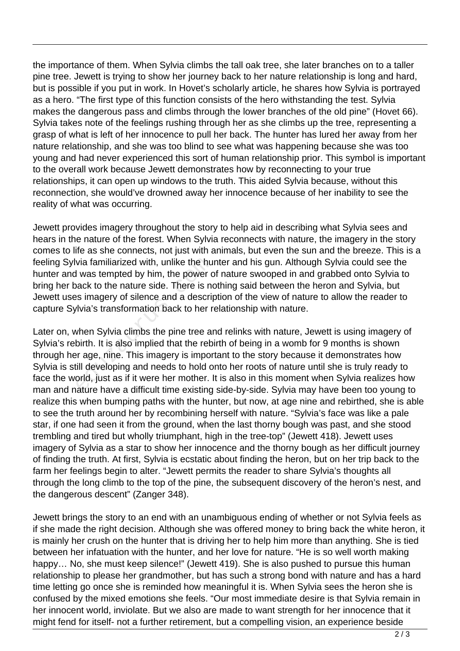the importance of them. When Sylvia climbs the tall oak tree, she later branches on to a taller pine tree. Jewett is trying to show her journey back to her nature relationship is long and hard, but is possible if you put in work. In Hovet's scholarly article, he shares how Sylvia is portrayed as a hero. "The first type of this function consists of the hero withstanding the test. Sylvia makes the dangerous pass and climbs through the lower branches of the old pine" (Hovet 66). Sylvia takes note of the feelings rushing through her as she climbs up the tree, representing a grasp of what is left of her innocence to pull her back. The hunter has lured her away from her nature relationship, and she was too blind to see what was happening because she was too young and had never experienced this sort of human relationship prior. This symbol is important to the overall work because Jewett demonstrates how by reconnecting to your true relationships, it can open up windows to the truth. This aided Sylvia because, without this reconnection, she would've drowned away her innocence because of her inability to see the reality of what was occurring.

Jewett provides imagery throughout the story to help aid in describing what Sylvia sees and hears in the nature of the forest. When Sylvia reconnects with nature, the imagery in the story comes to life as she connects, not just with animals, but even the sun and the breeze. This is a feeling Sylvia familiarized with, unlike the hunter and his gun. Although Sylvia could see the hunter and was tempted by him, the power of nature swooped in and grabbed onto Sylvia to bring her back to the nature side. There is nothing said between the heron and Sylvia, but Jewett uses imagery of silence and a description of the view of nature to allow the reader to capture Sylvia's transformation back to her relationship with nature.

Later on, when Sylvia climbs the pine tree and relinks with nature, Jewett is using imagery of Sylvia's rebirth. It is also implied that the rebirth of being in a womb for 9 months is shown through her age, nine. This imagery is important to the story because it demonstrates how Sylvia is still developing and needs to hold onto her roots of nature until she is truly ready to face the world, just as if it were her mother. It is also in this moment when Sylvia realizes how man and nature have a difficult time existing side-by-side. Sylvia may have been too young to realize this when bumping paths with the hunter, but now, at age nine and rebirthed, she is able to see the truth around her by recombining herself with nature. "Sylvia's face was like a pale star, if one had seen it from the ground, when the last thorny bough was past, and she stood trembling and tired but wholly triumphant, high in the tree-top" (Jewett 418). Jewett uses imagery of Sylvia as a star to show her innocence and the thorny bough as her difficult journey of finding the truth. At first, Sylvia is ecstatic about finding the heron, but on her trip back to the farm her feelings begin to alter. "Jewett permits the reader to share Sylvia's thoughts all through the long climb to the top of the pine, the subsequent discovery of the heron's nest, and the dangerous descent" (Zanger 348). via familiarized with, unlike the hu<br>I was tempted by him, the power c<br>ack to the nature side. There is not<br>as imagery of silence and a descrip<br>divia's transformation back to her r<br>when Sylvia climbs the pine tree at<br>birth

Jewett brings the story to an end with an unambiguous ending of whether or not Sylvia feels as if she made the right decision. Although she was offered money to bring back the white heron, it is mainly her crush on the hunter that is driving her to help him more than anything. She is tied between her infatuation with the hunter, and her love for nature. "He is so well worth making happy... No, she must keep silence!" (Jewett 419). She is also pushed to pursue this human relationship to please her grandmother, but has such a strong bond with nature and has a hard time letting go once she is reminded how meaningful it is. When Sylvia sees the heron she is confused by the mixed emotions she feels. "Our most immediate desire is that Sylvia remain in her innocent world, inviolate. But we also are made to want strength for her innocence that it might fend for itself- not a further retirement, but a compelling vision, an experience beside